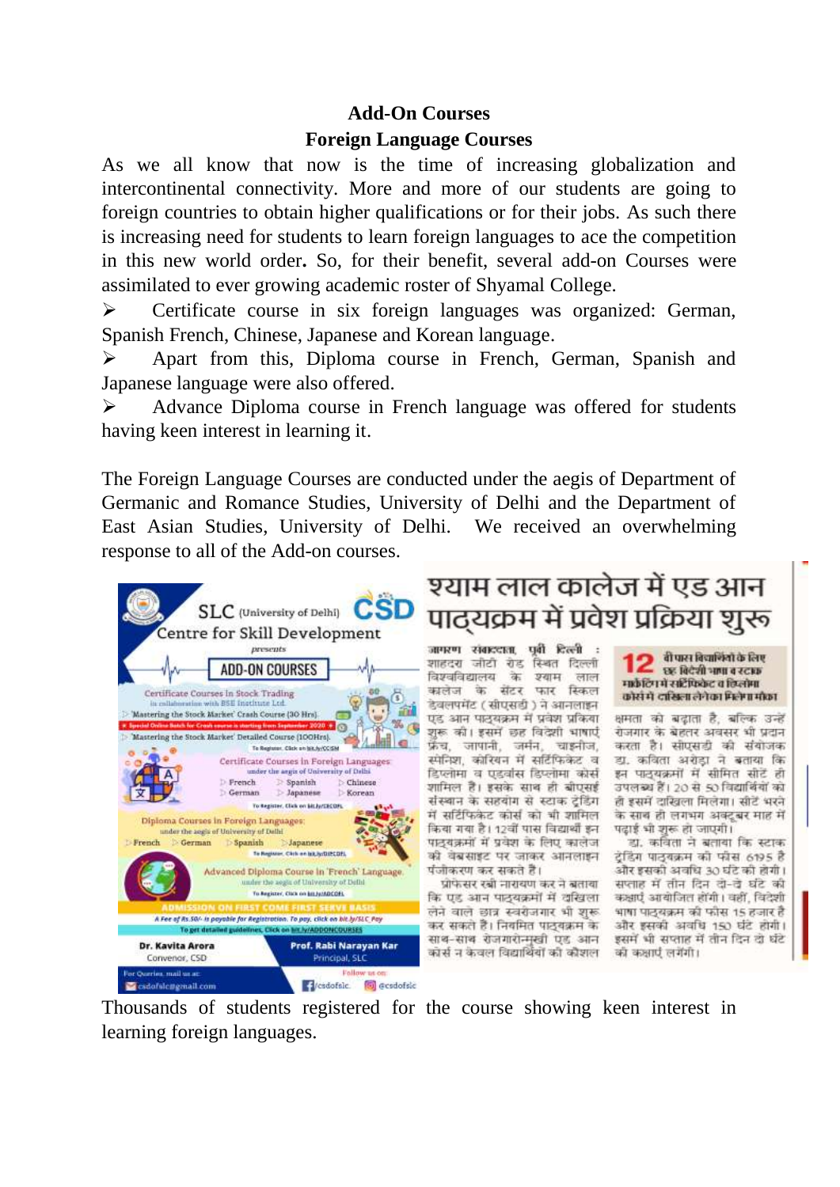## **Add-On Courses**

## **Foreign Language Courses**

As we all know that now is the time of increasing globalization and intercontinental connectivity. More and more of our students are going to foreign countries to obtain higher qualifications or for their jobs. As such there is increasing need for students to learn foreign languages to ace the competition in this new world order**.** So, for their benefit, several add-on Courses were assimilated to ever growing academic roster of Shyamal College.

 Certificate course in six foreign languages was organized: German, Spanish French, Chinese, Japanese and Korean language.

 Apart from this, Diploma course in French, German, Spanish and Japanese language were also offered.

 Advance Diploma course in French language was offered for students having keen interest in learning it.

The Foreign Language Courses are conducted under the aegis of Department of Germanic and Romance Studies, University of Delhi and the Department of East Asian Studies, University of Delhi. We received an overwhelming response to all of the Add-on courses.



## श्याम लाल कालेज में एड आन पाद्यक्रम में प्रवेश प्रक्रिया शुरू

जागरण संबाददाता. पूर्वी दिल्ली शाहदरा जीटी रोड स्थित दिल्ली विश्वविद्यालय के श्याम लाल कालेज के सेंटर फार स्किल देवलपमेंट (सीएसडी ) ने आनलाइन एड आन पाउँयक्रम में प्रवेश प्रकिया शुरू की। इसमें छह विदेशी भाषाएँ फ्रेंच, जापानी, जर्मन, चाइनीज, स्मेनिश, कोरियन में सर्टिफिकेट व डिप्लोमा व एडवांस डिप्लोमा कोर्स शामिल है। इसके साथ ही बीएसई संस्थान के सहयोग से स्टाक ट्रेडिंग में सर्टिफिकेट कोर्स को भी शामिल किया गया है। 12वीं पास विद्यार्थी इन पाद्यक्रमों में प्रवेश के लिए कालेज की वेबसाइट पर जाकर आनलाइन पंजीकरण कर सकते हैं।

प्रोफेसर रबी नारायण कर ने बताया कि एड आन पाठ्यक्रमों में दक्षिला लेने वाले छात्र स्वरोजगार भी शुरू कर सकते हैं। निवमित पाठवक्रम के साथ-साथ रोजगारोन्मखी एड आन कोर्स न केवल विद्यार्थियों की कौशल - की कक्षाएं लगेंगी।



क्षमता को बढ़ाता है, बल्कि उन्हें रोजगार के बेहतर अवसर भी प्रदान करता है। सोएसडी की संयोजक डा. कविता अरोडा ने बताया कि इन पाठ्यक्रमों में सीमित सीटें ही उपलब्ध हैं। 20 से 50 विद्यार्थियों को ही इसमें दाखिला मिलेगा। सीटें भरने के साथ ही लगभग अक्टूबर माह में पढ़ाई भी शुरू हो जाएगी।

डा. कविता ने बताया कि स्टाक ट्रेडिंग पाठ्यक्रम को फीस 6195 है और इसकी अवधि 30 घंटे की होगी। सप्ताह में तीन दिन दो-दे घंटे की कक्षाएं आयोजित होंगी। वहीं, विदेशी भाषा पाठयक्रम की फौस 15 हजार है और इसकी अवधि 150 घंटे होगी। इसमें भी सप्ताह में तीन दिन दो घंटे

Thousands of students registered for the course showing keen interest in learning foreign languages.